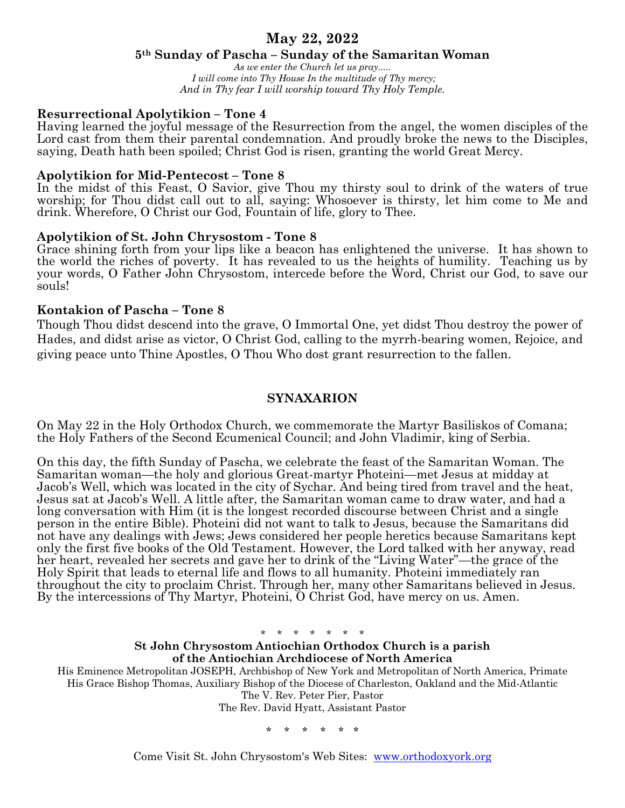# **May 22, 2022**

### **5th Sunday of Pascha – Sunday of the Samaritan Woman**

*As we enter the Church let us pray..... I will come into Thy House In the multitude of Thy mercy; And in Thy fear I will worship toward Thy Holy Temple.*

## **Resurrectional Apolytikion – Tone 4**

Having learned the joyful message of the Resurrection from the angel, the women disciples of the Lord cast from them their parental condemnation. And proudly broke the news to the Disciples, saying, Death hath been spoiled; Christ God is risen, granting the world Great Mercy.

#### **Apolytikion for Mid-Pentecost – Tone 8**

In the midst of this Feast, O Savior, give Thou my thirsty soul to drink of the waters of true worship; for Thou didst call out to all, saying: Whosoever is thirsty, let him come to Me and drink. Wherefore, O Christ our God, Fountain of life, glory to Thee.

### **Apolytikion of St. John Chrysostom - Tone 8**

Grace shining forth from your lips like a beacon has enlightened the universe. It has shown to the world the riches of poverty. It has revealed to us the heights of humility. Teaching us by your words, O Father John Chrysostom, intercede before the Word, Christ our God, to save our souls!

## **Kontakion of Pascha – Tone 8**

Though Thou didst descend into the grave, O Immortal One, yet didst Thou destroy the power of Hades, and didst arise as victor, O Christ God, calling to the myrrh-bearing women, Rejoice, and giving peace unto Thine Apostles, O Thou Who dost grant resurrection to the fallen.

### **SYNAXARION**

On May 22 in the Holy Orthodox Church, we commemorate the Martyr Basiliskos of Comana; the Holy Fathers of the Second Ecumenical Council; and John Vladimir, king of Serbia.

On this day, the fifth Sunday of Pascha, we celebrate the feast of the Samaritan Woman. The Samaritan woman—the holy and glorious Great-martyr Photeini—met Jesus at midday at Jacob's Well, which was located in the city of Sychar. And being tired from travel and the heat, Jesus sat at Jacob's Well. A little after, the Samaritan woman came to draw water, and had a long conversation with Him (it is the longest recorded discourse between Christ and a single person in the entire Bible). Photeini did not want to talk to Jesus, because the Samaritans did not have any dealings with Jews; Jews considered her people heretics because Samaritans kept only the first five books of the Old Testament. However, the Lord talked with her anyway, read her heart, revealed her secrets and gave her to drink of the "Living Water"—the grace of the Holy Spirit that leads to eternal life and flows to all humanity. Photeini immediately ran throughout the city to proclaim Christ. Through her, many other Samaritans believed in Jesus. By the intercessions of Thy Martyr, Photeini, O Christ God, have mercy on us. Amen.

\* \* \* \* \* \* \*

#### **St John Chrysostom Antiochian Orthodox Church is a parish of the Antiochian Archdiocese of North America**

His Eminence Metropolitan JOSEPH, Archbishop of New York and Metropolitan of North America, Primate His Grace Bishop Thomas, Auxiliary Bishop of the Diocese of Charleston, Oakland and the Mid-Atlantic The V. Rev. Peter Pier, Pastor

The Rev. David Hyatt, Assistant Pastor

\* \* \* \* \* \*

Come Visit St. John Chrysostom's Web Sites: www.orthodoxyork.org